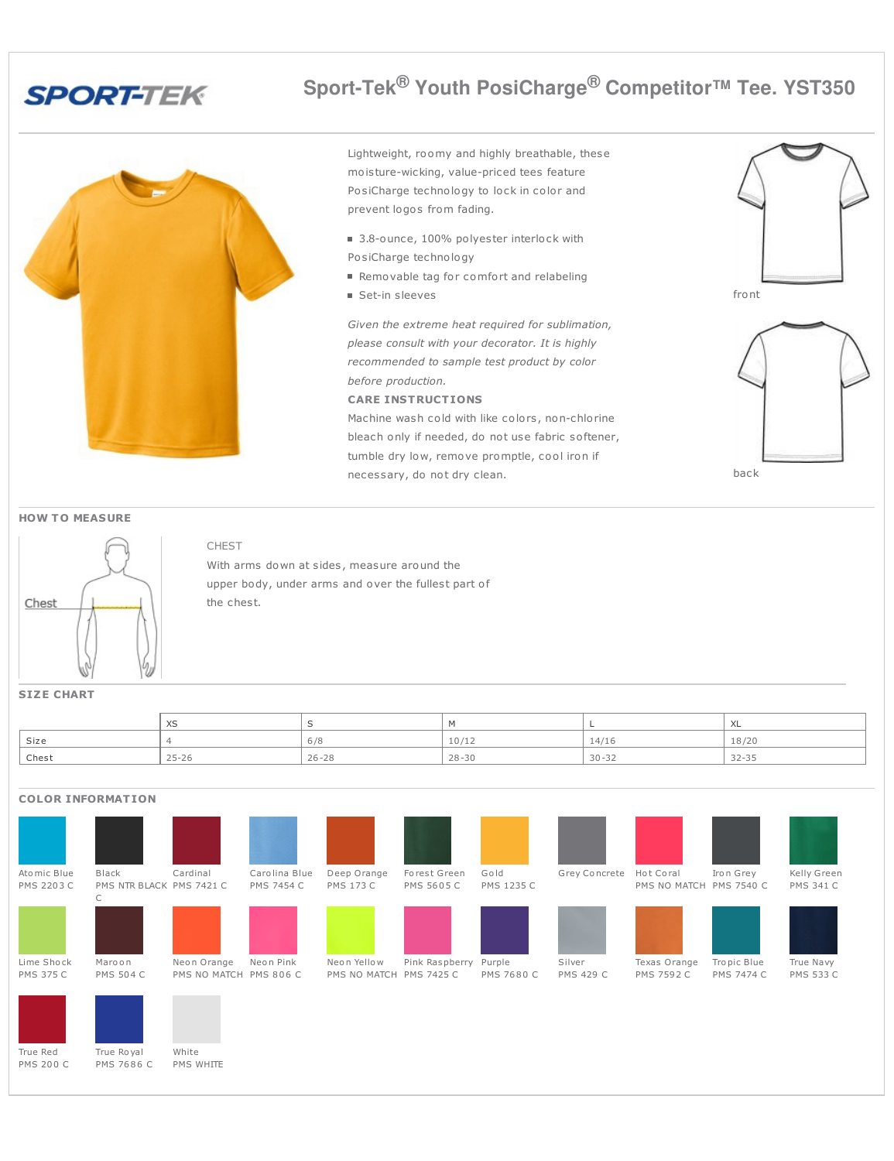

## **Sport-Tek® Youth PosiCharge® Competitor™ Tee. YST350**

Lightweight, roomy and highly breathable, these moisture-wicking, value-priced tees feature PosiCharge technology to lock in color and prevent logos from fading.

- 3.8-ounce, 100% polyester interlock with PosiCharge technology
- Removable tag for comfort and relabeling
- Set-in sleeves

*Given the extreme heat required for sublimation, please consult with your decorator. It is highly recommended to sample test product by color before production.*

## **CARE INSTRUCTIONS**

Machine wash cold with like colors, non-chlorine bleach only if needed, do not use fabric softener, tumble dry low, remove promptle, cool iron if necessary, do not dry clean.





## **HOW T O MEASURE**



## CHEST

With arms down at sides, measure around the upper body, under arms and over the fullest part of the chest.

### **SIZE CHART**

|                    | XS        |           |           |           | ⌒∟        |
|--------------------|-----------|-----------|-----------|-----------|-----------|
| Size               |           | 6/8       | 10/12     | 14/16     | 18/20     |
| <sup>'</sup> Chest | $25 - 26$ | $26 - 28$ | $28 - 30$ | $30 - 32$ | $32 - 35$ |





PMS 7686 C White

PMS WHITE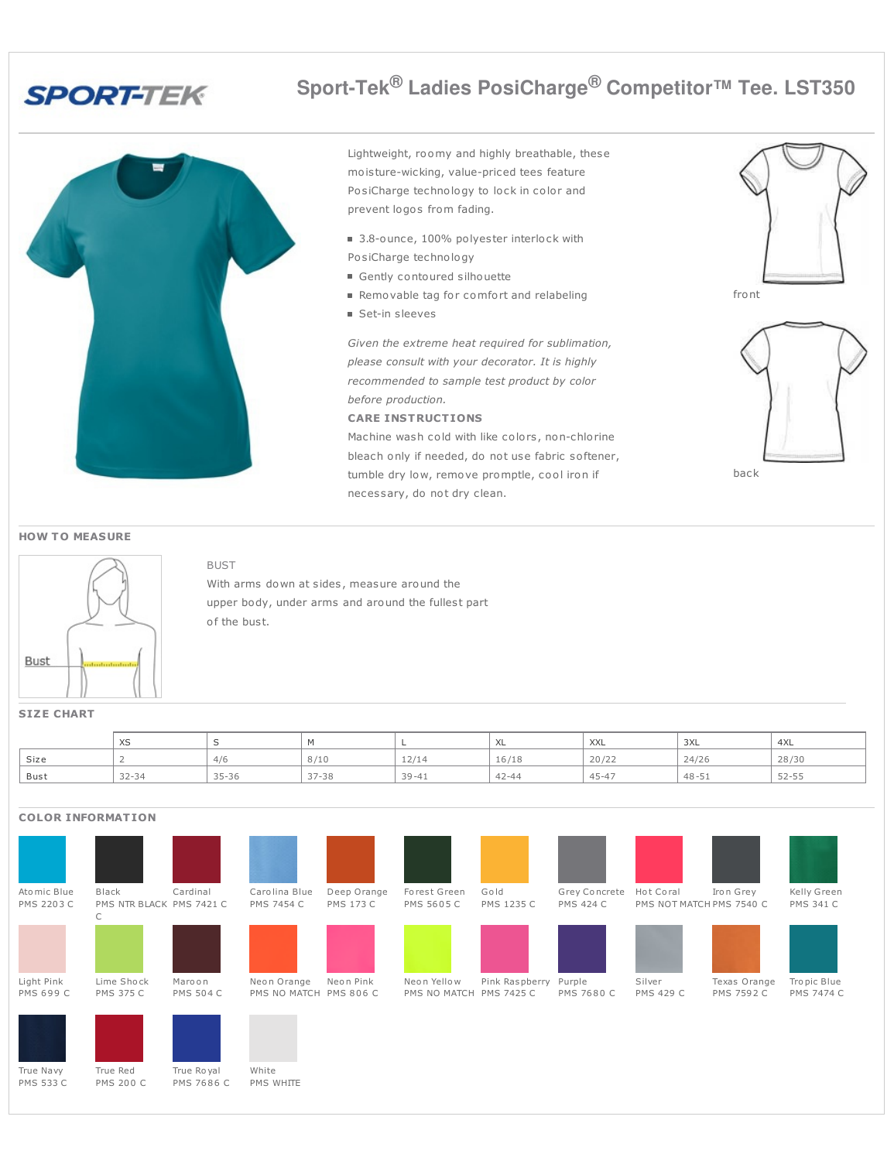

# **Sport-Tek® Ladies PosiCharge® Competitor™ Tee. LST350**

Lightweight, roomy and highly breathable, these moisture-wicking, value-priced tees feature PosiCharge technology to lock in color and prevent logos from fading.

- 3.8-ounce, 100% polyester interlock with PosiCharge technology
- Gently contoured silhouette
- Removable tag for comfort and relabeling
- Set-in sleeves

*Given the extreme heat required for sublimation, please consult with your decorator. It is highly recommended to sample test product by color before production.*

**CARE INSTRUCTIONS**

Machine wash cold with like colors, non-chlorine bleach only if needed, do not use fabric softener, tumble dry low, remove promptle, cool iron if necessary, do not dry clean.





### **HOW TO MEASURE**



BUST With arms down at sides, measure around the upper body, under arms and around the fullest part

of the bust.

**SIZE CHART**

|      | $\ddot{\phantom{0}}$<br>$\sim$ |           |           |           | へ∟        | <b>XXL</b> | 3XL       | 4XL       |
|------|--------------------------------|-----------|-----------|-----------|-----------|------------|-----------|-----------|
| Size |                                | 4/6       | 8/10      | 12/14     | 16/18     | 20/22      | 24/26     | 28/30     |
| Bust | $32 - 34$                      | $35 - 36$ | $37 - 38$ | $39 - 41$ | $42 - 44$ | $45 - 47$  | $48 - 51$ | $52 - 55$ |

### Ato mic Blue PMS 2203 C Black PMS NTR BLACK PMS 7421 C  $\overline{C}$ Cardinal Caro lina Blue PMS 7454 C Deep Orange PMS 173 C Forest Green PMS 5605 C Go ld PMS 1235 C Grey Concrete Hot Coral PMS 424 C PMS NOT MATCH PMS 7540 C Iro n Grey Kelly Green PMS 341 C Light Pink PMS 699 C Lime Sho ck PMS 375 C Maro o n PMS 504 C Neon Orange Neon Pink PMS NO MATCH PMS 806 C Neo n Yello w PMS NO MATCH PMS 7425 C Pink Raspberry Purple PMS 7680 C Silver PMS 429 C Texas Orange PMS 7592 C Tro pic Blue PMS 7474 C True Navy PMS 533 C True Red PMS 200 C True Ro yal PMS 7686 C White PMS WHITE **COLOR INFORMATION**